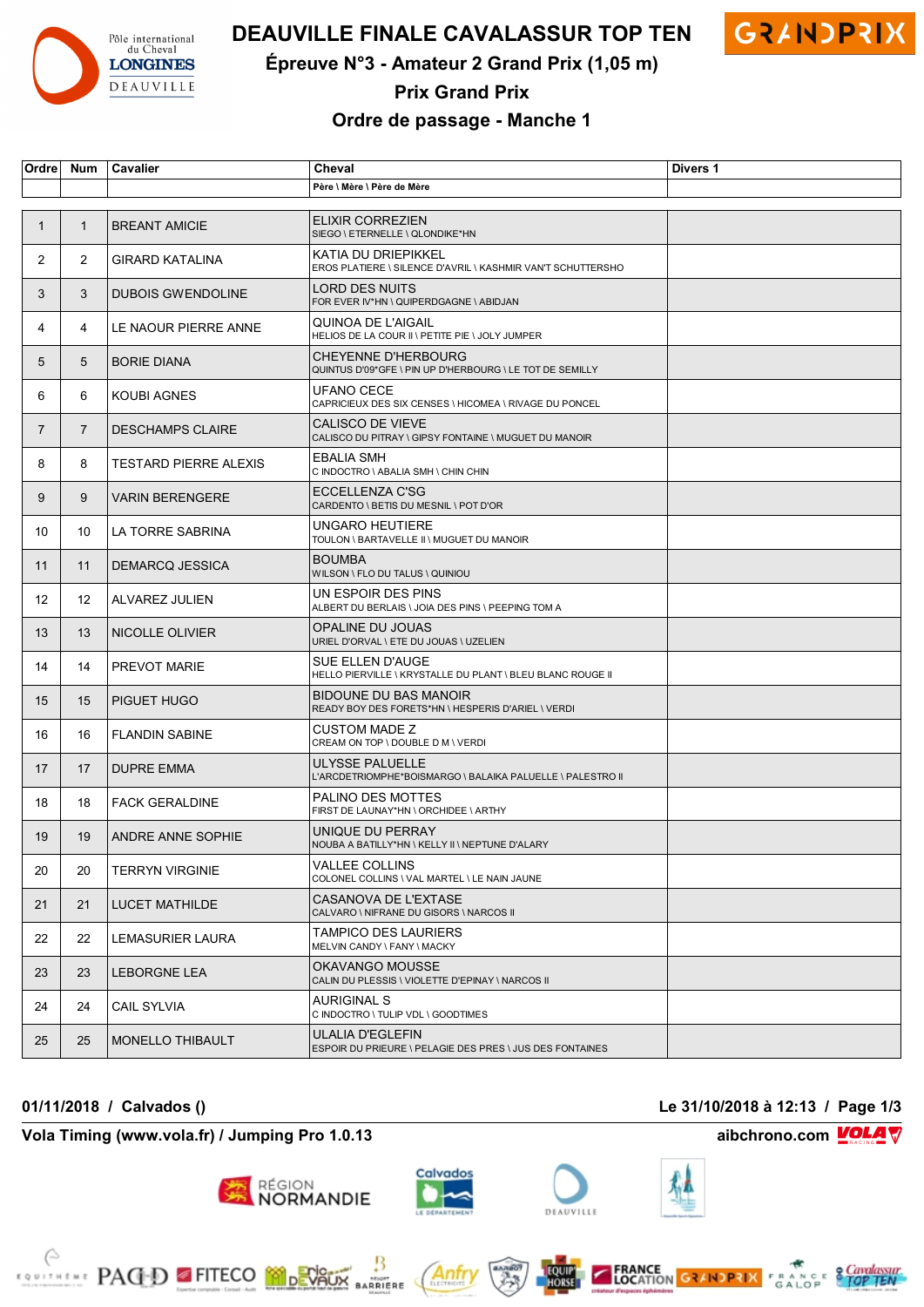

# **DEAUVILLE FINALE CAVALASSUR TOP TEN GRAINDPRIX**



**Épreuve N°3 - Amateur 2 Grand Prix (1,05 m)**

**Prix Grand Prix**

### **Ordre de passage - Manche 1**

| Ordre          | <b>Num</b>     | Cavalier                     | Cheval                                                                                 | Divers 1 |
|----------------|----------------|------------------------------|----------------------------------------------------------------------------------------|----------|
|                |                |                              | Père \ Mère \ Père de Mère                                                             |          |
|                |                |                              |                                                                                        |          |
| 1              | $\mathbf{1}$   | <b>BREANT AMICIE</b>         | <b>ELIXIR CORREZIEN</b><br>SIEGO \ ETERNELLE \ QLONDIKE*HN                             |          |
| $\mathbf{2}$   | 2              | <b>GIRARD KATALINA</b>       | KATIA DU DRIEPIKKEL<br>EROS PLATIERE \ SILENCE D'AVRIL \ KASHMIR VAN'T SCHUTTERSHO     |          |
| 3              | 3              | <b>DUBOIS GWENDOLINE</b>     | LORD DES NUITS<br>FOR EVER IV*HN \ QUIPERDGAGNE \ ABIDJAN                              |          |
| 4              | 4              | LE NAOUR PIERRE ANNE         | QUINOA DE L'AIGAIL<br>HELIOS DE LA COUR II \ PETITE PIE \ JOLY JUMPER                  |          |
| 5              | 5              | <b>BORIE DIANA</b>           | <b>CHEYENNE D'HERBOURG</b><br>QUINTUS D'09*GFE \ PIN UP D'HERBOURG \ LE TOT DE SEMILLY |          |
| 6              | 6              | <b>KOUBI AGNES</b>           | <b>UFANO CECE</b><br>CAPRICIEUX DES SIX CENSES \ HICOMEA \ RIVAGE DU PONCEL            |          |
| $\overline{7}$ | $\overline{7}$ | <b>DESCHAMPS CLAIRE</b>      | CALISCO DE VIEVE<br>CALISCO DU PITRAY \ GIPSY FONTAINE \ MUGUET DU MANOIR              |          |
| 8              | 8              | <b>TESTARD PIERRE ALEXIS</b> | <b>EBALIA SMH</b><br>C INDOCTRO \ ABALIA SMH \ CHIN CHIN                               |          |
| 9              | 9              | <b>VARIN BERENGERE</b>       | ECCELLENZA C'SG<br>CARDENTO \ BETIS DU MESNIL \ POT D'OR                               |          |
| 10             | 10             | LA TORRE SABRINA             | UNGARO HEUTIERE<br>TOULON \ BARTAVELLE II \ MUGUET DU MANOIR                           |          |
| 11             | 11             | DEMARCQ JESSICA              | <b>BOUMBA</b><br>WILSON \ FLO DU TALUS \ QUINIOU                                       |          |
| 12             | 12             | <b>ALVAREZ JULIEN</b>        | UN ESPOIR DES PINS<br>ALBERT DU BERLAIS \ JOIA DES PINS \ PEEPING TOM A                |          |
| 13             | 13             | NICOLLE OLIVIER              | OPALINE DU JOUAS<br>URIEL D'ORVAL \ ETE DU JOUAS \ UZELIEN                             |          |
| 14             | 14             | <b>PREVOT MARIE</b>          | SUE ELLEN D'AUGE<br>HELLO PIERVILLE \ KRYSTALLE DU PLANT \ BLEU BLANC ROUGE II         |          |
| 15             | 15             | PIGUET HUGO                  | BIDOUNE DU BAS MANOIR<br>READY BOY DES FORETS*HN \ HESPERIS D'ARIEL \ VERDI            |          |
| 16             | 16             | <b>FLANDIN SABINE</b>        | CUSTOM MADE Z<br>CREAM ON TOP \ DOUBLE D M \ VERDI                                     |          |
| 17             | 17             | <b>DUPRE EMMA</b>            | ULYSSE PALUELLE<br>L'ARCDETRIOMPHE*BOISMARGO \ BALAIKA PALUELLE \ PALESTRO II          |          |
| 18             | 18             | <b>FACK GERALDINE</b>        | PALINO DES MOTTES<br>FIRST DE LAUNAY*HN \ ORCHIDEE \ ARTHY                             |          |
| 19             | 19             | ANDRE ANNE SOPHIE            | UNIQUE DU PERRAY<br>NOUBA A BATILLY*HN \ KELLY II \ NEPTUNE D'ALARY                    |          |
| 20             | 20             | <b>TERRYN VIRGINIE</b>       | VALLEE COLLINS<br>COLONEL COLLINS \ VAL MARTEL \ LE NAIN JAUNE                         |          |
| 21             | 21             | LUCET MATHILDE               | CASANOVA DE L'EXTASE<br>CALVARO \ NIFRANE DU GISORS \ NARCOS II                        |          |
| 22             | 22             | LEMASURIER LAURA             | TAMPICO DES LAURIERS<br>MELVIN CANDY \ FANY \ MACKY                                    |          |
| 23             | 23             | LEBORGNE LEA                 | OKAVANGO MOUSSE<br>CALIN DU PLESSIS \ VIOLETTE D'EPINAY \ NARCOS II                    |          |
| 24             | 24             | <b>CAIL SYLVIA</b>           | AURIGINAL S<br>C INDOCTRO \ TULIP VDL \ GOODTIMES                                      |          |
| 25             | 25             | <b>MONELLO THIBAULT</b>      | ULALIA D'EGLEFIN<br>ESPOIR DU PRIEURE \ PELAGIE DES PRES \ JUS DES FONTAINES           |          |

**01/11/2018 / Calvados () Le 31/10/2018 à 12:13 / Page 1/3**

**Vola Timing (www.vola.fr) / Jumping Pro 1.0.13 aibchrono.com VOLA** 

**EXAMPLE PACED FITECO MODERATION** 



région<br>**NORMANDIE** 







₿





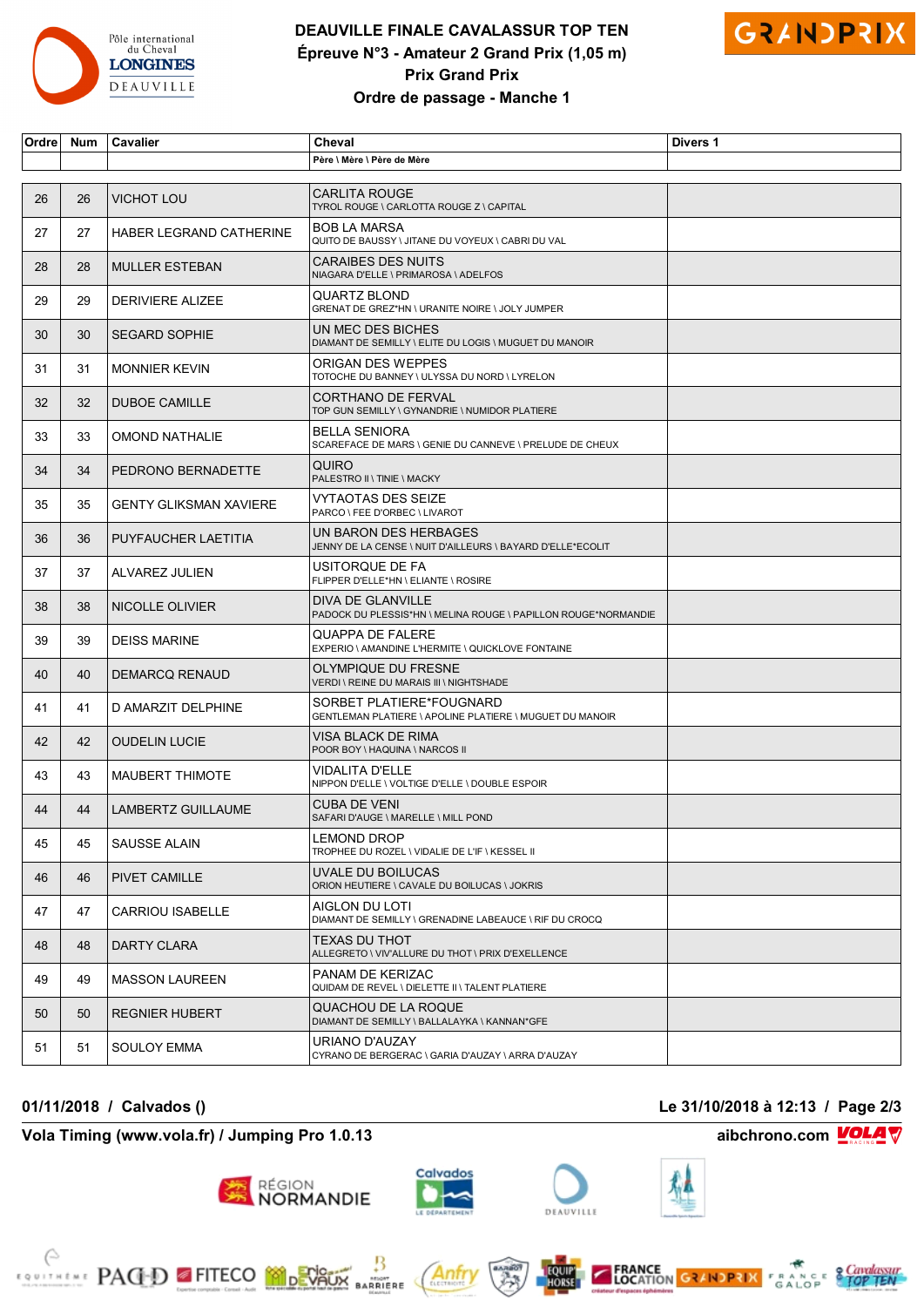

# **DEAUVILLE FINALE CAVALASSUR TOP TEN Épreuve N°3 - Amateur 2 Grand Prix (1,05 m) Prix Grand Prix Ordre de passage - Manche 1**



| Ordre | Num | Cavalier                      | Cheval                                                                               | Divers 1 |
|-------|-----|-------------------------------|--------------------------------------------------------------------------------------|----------|
|       |     |                               | Père \ Mère \ Père de Mère                                                           |          |
| 26    | 26  | <b>VICHOT LOU</b>             | <b>CARLITA ROUGE</b><br>TYROL ROUGE \ CARLOTTA ROUGE Z \ CAPITAL                     |          |
| 27    | 27  | HABER LEGRAND CATHERINE       | <b>BOB LA MARSA</b><br>QUITO DE BAUSSY \ JITANE DU VOYEUX \ CABRI DU VAL             |          |
| 28    | 28  | <b>MULLER ESTEBAN</b>         | <b>CARAIBES DES NUITS</b><br>NIAGARA D'ELLE \ PRIMAROSA \ ADELFOS                    |          |
| 29    | 29  | <b>DERIVIERE ALIZEE</b>       | QUARTZ BLOND<br>GRENAT DE GREZ*HN \ URANITE NOIRE \ JOLY JUMPER                      |          |
| 30    | 30  | <b>SEGARD SOPHIE</b>          | UN MEC DES BICHES<br>DIAMANT DE SEMILLY \ ELITE DU LOGIS \ MUGUET DU MANOIR          |          |
| 31    | 31  | <b>MONNIER KEVIN</b>          | ORIGAN DES WEPPES<br>TOTOCHE DU BANNEY \ ULYSSA DU NORD \ LYRELON                    |          |
| 32    | 32  | <b>DUBOE CAMILLE</b>          | <b>CORTHANO DE FERVAL</b><br>TOP GUN SEMILLY \ GYNANDRIE \ NUMIDOR PLATIERE          |          |
| 33    | 33  | <b>OMOND NATHALIE</b>         | <b>BELLA SENIORA</b><br>SCAREFACE DE MARS \ GENIE DU CANNEVE \ PRELUDE DE CHEUX      |          |
| 34    | 34  | PEDRONO BERNADETTE            | QUIRO<br>PALESTRO II \ TINIE \ MACKY                                                 |          |
| 35    | 35  | <b>GENTY GLIKSMAN XAVIERE</b> | VYTAOTAS DES SEIZE<br>PARCO \ FEE D'ORBEC \ LIVAROT                                  |          |
| 36    | 36  | PUYFAUCHER LAETITIA           | UN BARON DES HERBAGES<br>JENNY DE LA CENSE \ NUIT D'AILLEURS \ BAYARD D'ELLE*ECOLIT  |          |
| 37    | 37  | ALVAREZ JULIEN                | USITORQUE DE FA<br>FLIPPER D'ELLE*HN \ ELIANTE \ ROSIRE                              |          |
| 38    | 38  | NICOLLE OLIVIER               | DIVA DE GLANVILLE<br>PADOCK DU PLESSIS*HN \ MELINA ROUGE \ PAPILLON ROUGE*NORMANDIE  |          |
| 39    | 39  | <b>DEISS MARINE</b>           | QUAPPA DE FALERE<br>EXPERIO \ AMANDINE L'HERMITE \ QUICKLOVE FONTAINE                |          |
| 40    | 40  | <b>DEMARCQ RENAUD</b>         | OLYMPIQUE DU FRESNE<br>VERDI \ REINE DU MARAIS III \ NIGHTSHADE                      |          |
| 41    | 41  | D AMARZIT DELPHINE            | SORBET PLATIERE*FOUGNARD<br>GENTLEMAN PLATIERE \ APOLINE PLATIERE \ MUGUET DU MANOIR |          |
| 42    | 42  | <b>OUDELIN LUCIE</b>          | VISA BLACK DE RIMA<br>POOR BOY \ HAQUINA \ NARCOS II                                 |          |
| 43    | 43  | <b>MAUBERT THIMOTE</b>        | VIDALITA D'ELLE<br>NIPPON D'ELLE \ VOLTIGE D'ELLE \ DOUBLE ESPOIR                    |          |
| 44    | 44  | LAMBERTZ GUILLAUME            | <b>CUBA DE VENI</b><br>SAFARI D'AUGE \ MARELLE \ MILL POND                           |          |
| 45    | 45  | SAUSSE ALAIN                  | LEMOND DROP<br>TROPHEE DU ROZEL \ VIDALIE DE L'IF \ KESSEL II                        |          |
| 46    | 46  | PIVET CAMILLE                 | UVALE DU BOILUCAS<br>ORION HEUTIERE \ CAVALE DU BOILUCAS \ JOKRIS                    |          |
| 47    | 47  | <b>CARRIOU ISABELLE</b>       | AIGLON DU LOTI<br>DIAMANT DE SEMILLY \ GRENADINE LABEAUCE \ RIF DU CROCQ             |          |
| 48    | 48  | DARTY CLARA                   | TEXAS DU THOT<br>ALLEGRETO \ VIV'ALLURE DU THOT \ PRIX D'EXELLENCE                   |          |
| 49    | 49  | <b>MASSON LAUREEN</b>         | PANAM DE KERIZAC<br>QUIDAM DE REVEL \ DIELETTE II \ TALENT PLATIERE                  |          |
| 50    | 50  | <b>REGNIER HUBERT</b>         | QUACHOU DE LA ROQUE<br>DIAMANT DE SEMILLY \ BALLALAYKA \ KANNAN*GFE                  |          |
| 51    | 51  | SOULOY EMMA                   | URIANO D'AUZAY<br>CYRANO DE BERGERAC \ GARIA D'AUZAY \ ARRA D'AUZAY                  |          |

### **Vola Timing (www.vola.fr) / Jumping Pro 1.0.13 aibchrono.com VOLA**

EQUITATINE PACED FITECO MORVAUX ARRIERE

#### **01/11/2018 / Calvados () Le 31/10/2018 à 12:13 / Page 2/3**





Anfr